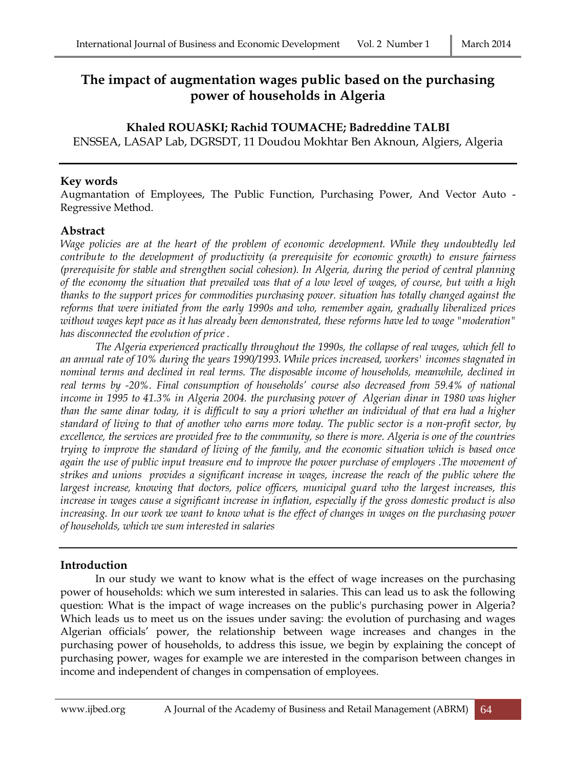# **The impact of augmentation wages public based on the purchasing power of households in Algeria**

# **Khaled ROUASKI; Rachid TOUMACHE; Badreddine TALBI**

ENSSEA, LASAP Lab, DGRSDT, 11 Doudou Mokhtar Ben Aknoun, Algiers, Algeria

#### **Key words**

Augmantation of Employees, The Public Function, Purchasing Power, And Vector Auto - Regressive Method.

# **Abstract**

*Wage policies are at the heart of the problem of economic development. While they undoubtedly led contribute to the development of productivity (a prerequisite for economic growth) to ensure fairness (prerequisite for stable and strengthen social cohesion). In Algeria, during the period of central planning of the economy the situation that prevailed was that of a low level of wages, of course, but with a high thanks to the support prices for commodities purchasing power. situation has totally changed against the reforms that were initiated from the early 1990s and who, remember again, gradually liberalized prices without wages kept pace as it has already been demonstrated, these reforms have led to wage "moderation" has disconnected the evolution of price .* 

*The Algeria experienced practically throughout the 1990s, the collapse of real wages, which fell to an annual rate of 10% during the years 1990/1993. While prices increased, workers' incomes stagnated in nominal terms and declined in real terms. The disposable income of households, meanwhile, declined in real terms by -20%. Final consumption of households' course also decreased from 59.4% of national income in 1995 to 41.3% in Algeria 2004. the purchasing power of Algerian dinar in 1980 was higher than the same dinar today, it is difficult to say a priori whether an individual of that era had a higher standard of living to that of another who earns more today. The public sector is a non-profit sector, by excellence, the services are provided free to the community, so there is more. Algeria is one of the countries trying to improve the standard of living of the family, and the economic situation which is based once again the use of public input treasure end to improve the power purchase of employers .The movement of strikes and unions provides a significant increase in wages, increase the reach of the public where the largest increase, knowing that doctors, police officers, municipal guard who the largest increases, this increase in wages cause a significant increase in inflation, especially if the gross domestic product is also increasing. In our work we want to know what is the effect of changes in wages on the purchasing power of households, which we sum interested in salaries*

# **Introduction**

In our study we want to know what is the effect of wage increases on the purchasing power of households: which we sum interested in salaries. This can lead us to ask the following question: What is the impact of wage increases on the public's purchasing power in Algeria? Which leads us to meet us on the issues under saving: the evolution of purchasing and wages Algerian officials' power, the relationship between wage increases and changes in the purchasing power of households, to address this issue, we begin by explaining the concept of purchasing power, wages for example we are interested in the comparison between changes in income and independent of changes in compensation of employees.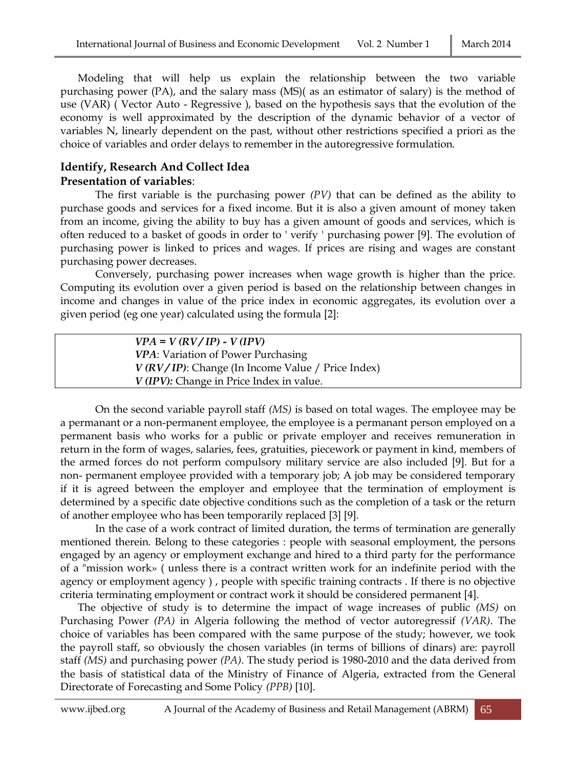Modeling that will help us explain the relationship between the two variable purchasing power (PA), and the salary mass (MS)( as an estimator of salary) is the method of use (VAR) ( Vector Auto - Regressive ), based on the hypothesis says that the evolution of the economy is well approximated by the description of the dynamic behavior of a vector of variables N, linearly dependent on the past, without other restrictions specified a priori as the choice of variables and order delays to remember in the autoregressive formulation.

#### **Identify, Research And Collect Idea Presentation of variables**:

The first variable is the purchasing power *(PV)* that can be defined as the ability to purchase goods and services for a fixed income. But it is also a given amount of money taken from an income, giving the ability to buy has a given amount of goods and services, which is often reduced to a basket of goods in order to ' verify ' purchasing power [9]. The evolution of purchasing power is linked to prices and wages. If prices are rising and wages are constant purchasing power decreases.

Conversely, purchasing power increases when wage growth is higher than the price. Computing its evolution over a given period is based on the relationship between changes in income and changes in value of the price index in economic aggregates, its evolution over a given period (eg one year) calculated using the formula [2]:

| $VPA = V (RV/IP) - V (IPV)$                              |
|----------------------------------------------------------|
| VPA: Variation of Power Purchasing                       |
| $V(RV/IP)$ : Change (In Income Value / Price Index)      |
| <i>V</i> ( <i>IPV</i> ): Change in Price Index in value. |
|                                                          |

On the second variable payroll staff *(MS)* is based on total wages. The employee may be a permanant or a non-permanent employee, the employee is a permanant person employed on a permanent basis who works for a public or private employer and receives remuneration in return in the form of wages, salaries, fees, gratuities, piecework or payment in kind, members of the armed forces do not perform compulsory military service are also included [9]. But for a non- permanent employee provided with a temporary job; A job may be considered temporary if it is agreed between the employer and employee that the termination of employment is determined by a specific date objective conditions such as the completion of a task or the return of another employee who has been temporarily replaced [3] [9].

In the case of a work contract of limited duration, the terms of termination are generally mentioned therein. Belong to these categories : people with seasonal employment, the persons engaged by an agency or employment exchange and hired to a third party for the performance of a "mission work» ( unless there is a contract written work for an indefinite period with the agency or employment agency ) , people with specific training contracts . If there is no objective criteria terminating employment or contract work it should be considered permanent [4].

The objective of study is to determine the impact of wage increases of public *(MS)* on Purchasing Power *(PA)* in Algeria following the method of vector autoregressif *(VAR)*. The choice of variables has been compared with the same purpose of the study; however, we took the payroll staff, so obviously the chosen variables (in terms of billions of dinars) are: payroll staff *(MS)* and purchasing power *(PA)*. The study period is 1980-2010 and the data derived from the basis of statistical data of the Ministry of Finance of Algeria, extracted from the General Directorate of Forecasting and Some Policy *(PPB)* [10].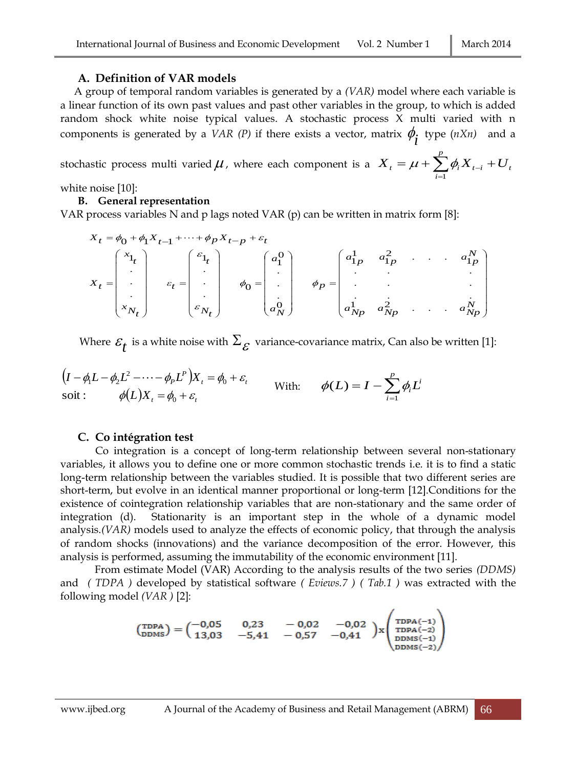#### **A. Definition of VAR models**

A group of temporal random variables is generated by a *(VAR)* model where each variable is a linear function of its own past values and past other variables in the group, to which is added random shock white noise typical values. A stochastic process X multi varied with n components is generated by a *VAR* (*P*) if there exists a vector, matrix  $\phi_i$  type (*nXn*) and a

stochastic process multi varied  $\mu$  , where each component is a  $= \mu + \sum_{i=1}^{p} \phi_i X_{t-i} +$ *i*  $X_t = \mu + \sum_i \phi_i X_{t-i} + U_t$ 1  $\mu + \sum \phi_i$ 

white noise [10]:

#### **B. General representation**

VAR process variables N and p lags noted VAR  $(p)$  can be written in matrix form [8]:

$$
X_t = \phi_0 + \phi_1 X_{t-1} + \dots + \phi_p X_{t-p} + \varepsilon_t
$$
  
\n
$$
X_t = \begin{pmatrix} x_{1_t} \\ \cdot \\ \cdot \\ x_{N_t} \end{pmatrix} \qquad \varepsilon_t = \begin{pmatrix} \varepsilon_{1_t} \\ \cdot \\ \varepsilon_{N_t} \end{pmatrix} \qquad \phi_0 = \begin{pmatrix} a_1^0 \\ \cdot \\ \cdot \\ a_N^0 \end{pmatrix} \qquad \phi_p = \begin{pmatrix} a_{1p}^1 & a_{1p}^2 & \dots & a_{1p}^N \\ \cdot & \cdot & \cdot & \cdot \\ \cdot & \cdot & \cdot & \cdot \\ a_{Np}^1 & a_{Np}^2 & \dots & a_{Np}^N \end{pmatrix}
$$

Where  $\varepsilon^{~}_t$  is a white noise with  $\Sigma^{~}_\mathcal{E}$  variance-covariance matrix, Can also be written [1]:

$$
(I - \phi_1 L - \phi_2 L^2 - \cdots - \phi_p L^P) X_t = \phi_0 + \varepsilon_t \qquad \text{With:} \qquad \phi(L) = I - \sum_{i=1}^p \phi_i L^i
$$
  
soit :  $\phi(L) X_t = \phi_0 + \varepsilon_t$ 

# **C. Co intégration test**

Co integration is a concept of long-term relationship between several non-stationary variables, it allows you to define one or more common stochastic trends i.e. it is to find a static long-term relationship between the variables studied. It is possible that two different series are short-term, but evolve in an identical manner proportional or long-term [12].Conditions for the existence of cointegration relationship variables that are non-stationary and the same order of integration (d). Stationarity is an important step in the whole of a dynamic model analysis.*(VAR)* models used to analyze the effects of economic policy, that through the analysis of random shocks (innovations) and the variance decomposition of the error. However, this analysis is performed, assuming the immutability of the economic environment [11].

From estimate Model (VAR) According to the analysis results of the two series *(DDMS)* and *( TDPA )* developed by statistical software *( Eviews.7 ) ( Tab.1 )* was extracted with the following model *(VAR )* [2]:

$$
\begin{pmatrix}\n\text{TDPA} \\
\text{DDMS}\n\end{pmatrix} = \begin{pmatrix}\n-0.05 & 0.23 & -0.02 & -0.02 \\
13.03 & -5.41 & -0.57 & -0.41\n\end{pmatrix} \mathbf{x} \begin{pmatrix}\n\text{TDPA}(-1) \\
\text{TDPA}(-2) \\
\text{DDMS}(-1) \\
\text{DDMS}(-2)\n\end{pmatrix}
$$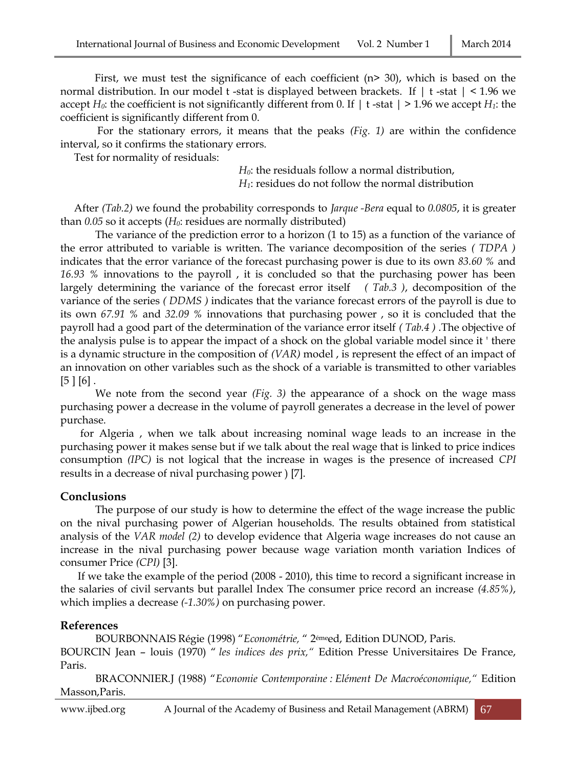First, we must test the significance of each coefficient  $(n > 30)$ , which is based on the normal distribution. In our model t-stat is displayed between brackets. If  $\vert t$ -stat  $\vert < 1.96$  we accept  $H_0$ : the coefficient is not significantly different from 0. If  $|t - \text{stat}| > 1.96$  we accept  $H_1$ : the coefficient is significantly different from 0.

For the stationary errors, it means that the peaks *(Fig. 1)* are within the confidence interval, so it confirms the stationary errors.

Test for normality of residuals:

*H0*: the residuals follow a normal distribution, *H1*: residues do not follow the normal distribution

After *(Tab.2)* we found the probability corresponds to *Jarque -Bera* equal to *0.0805*, it is greater than *0.05* so it accepts (*H0*: residues are normally distributed)

The variance of the prediction error to a horizon (1 to 15) as a function of the variance of the error attributed to variable is written. The variance decomposition of the series *( TDPA )* indicates that the error variance of the forecast purchasing power is due to its own *83.60 %* and *16.93 %* innovations to the payroll , it is concluded so that the purchasing power has been largely determining the variance of the forecast error itself *( Tab.3 )*, decomposition of the variance of the series *( DDMS )* indicates that the variance forecast errors of the payroll is due to its own *67.91 %* and *32.09 %* innovations that purchasing power , so it is concluded that the payroll had a good part of the determination of the variance error itself *( Tab.4 )* .The objective of the analysis pulse is to appear the impact of a shock on the global variable model since it ' there is a dynamic structure in the composition of *(VAR)* model , is represent the effect of an impact of an innovation on other variables such as the shock of a variable is transmitted to other variables  $[5] [6]$ .

We note from the second year *(Fig. 3)* the appearance of a shock on the wage mass purchasing power a decrease in the volume of payroll generates a decrease in the level of power purchase.

for Algeria , when we talk about increasing nominal wage leads to an increase in the purchasing power it makes sense but if we talk about the real wage that is linked to price indices consumption *(IPC)* is not logical that the increase in wages is the presence of increased *CPI* results in a decrease of nival purchasing power ) [7].

# **Conclusions**

The purpose of our study is how to determine the effect of the wage increase the public on the nival purchasing power of Algerian households. The results obtained from statistical analysis of the *VAR model (2)* to develop evidence that Algeria wage increases do not cause an increase in the nival purchasing power because wage variation month variation Indices of consumer Price *(CPI)* [3].

If we take the example of the period (2008 - 2010), this time to record a significant increase in the salaries of civil servants but parallel Index The consumer price record an increase *(4.85%)*, which implies a decrease *(-1.30%)* on purchasing power.

# **References**

BOURBONNAIS Régie (1998) "*Econométrie,* " 2émeed, Edition DUNOD, Paris.

BOURCIN Jean – louis (1970) " *les indices des prix,"* Edition Presse Universitaires De France, Paris.

BRACONNIER.J (1988) "*Economie Contemporaine : Elément De Macroéconomique,"* Edition Masson,Paris.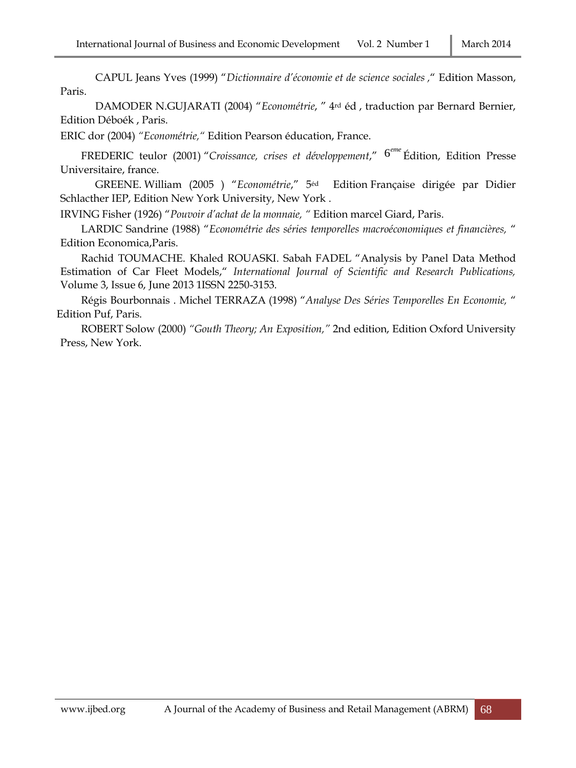CAPUL Jeans Yves (1999) "*Dictionnaire d'économie et de science sociales ,*" Edition Masson, Paris.

DAMODER N.GUJARATI (2004) "*Econométrie*, " 4rd éd , traduction par Bernard Bernier, Edition Déboék , Paris.

ERIC dor (2004) *"Econométrie,"* Edition Pearson éducation, France.

FREDERIC teulor (2001) "Croissance, crises et développement," <sup>6eme</sup> Édition, Edition Presse Universitaire, france.

GREENE. William (2005 ) "*Econométrie*," 5éd Edition Française dirigée par Didier Schlacther IEP, Edition New York University, New York .

IRVING Fisher (1926) "*Pouvoir d'achat de la monnaie, "* Edition marcel Giard, Paris.

LARDIC Sandrine (1988) "*Econométrie des séries temporelles macroéconomiques et financières,* " Edition Economica,Paris.

Rachid TOUMACHE. Khaled ROUASKI. Sabah FADEL "Analysis by Panel Data Method Estimation of Car Fleet Models," *International Journal of Scientific and Research Publications,*  Volume 3, Issue 6, June 2013 1ISSN 2250-3153.

Régis Bourbonnais . Michel TERRAZA (1998) "*Analyse Des Séries Temporelles En Economie,* " Edition Puf, Paris.

ROBERT Solow (2000) *"Gouth Theory; An Exposition,"* 2nd edition, Edition Oxford University Press, New York.